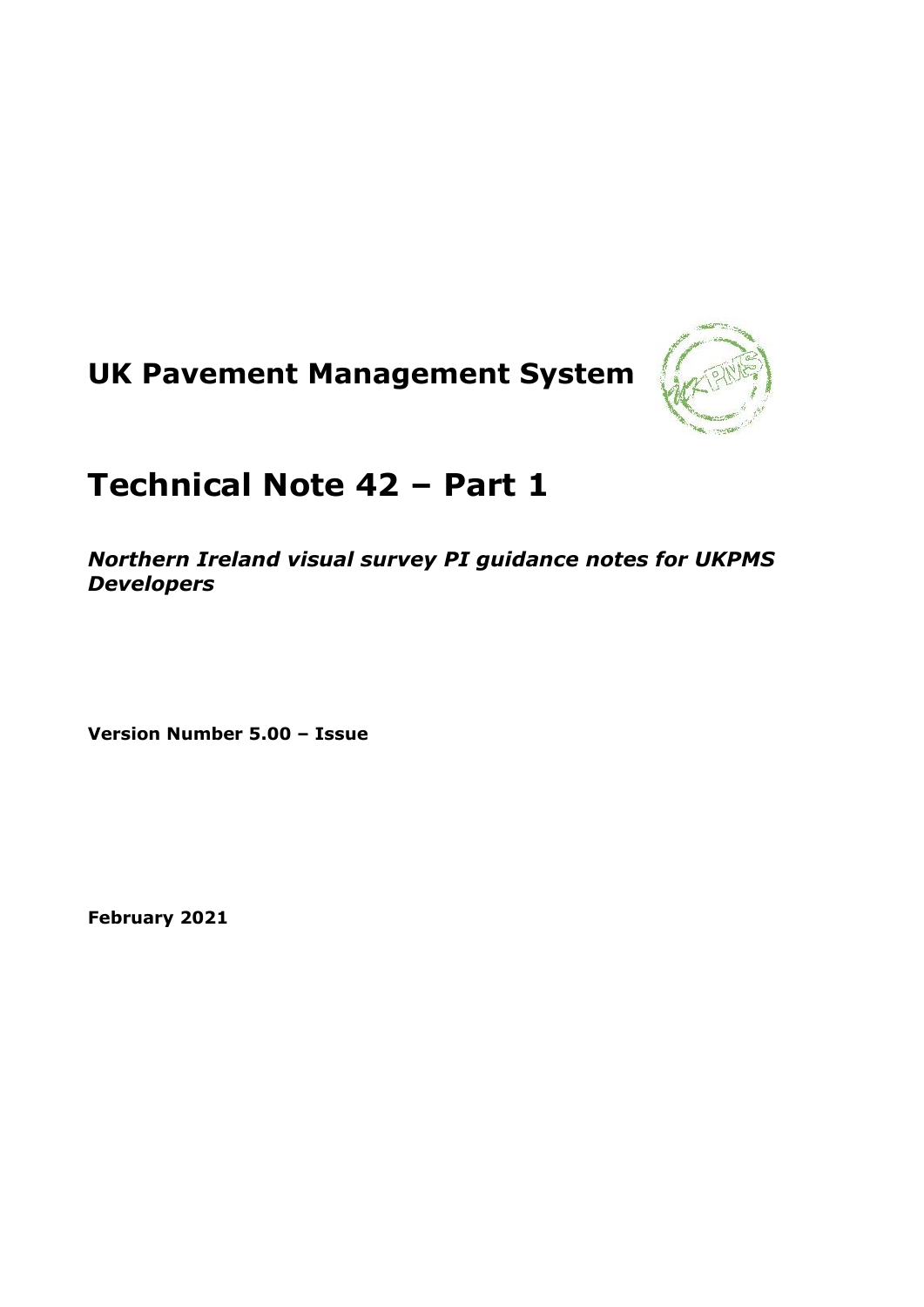# **UK Pavement Management System**



# **Technical Note 42 – Part 1**

*Northern Ireland visual survey PI guidance notes for UKPMS Developers*

**Version Number 5.00 – Issue**

**February 2021**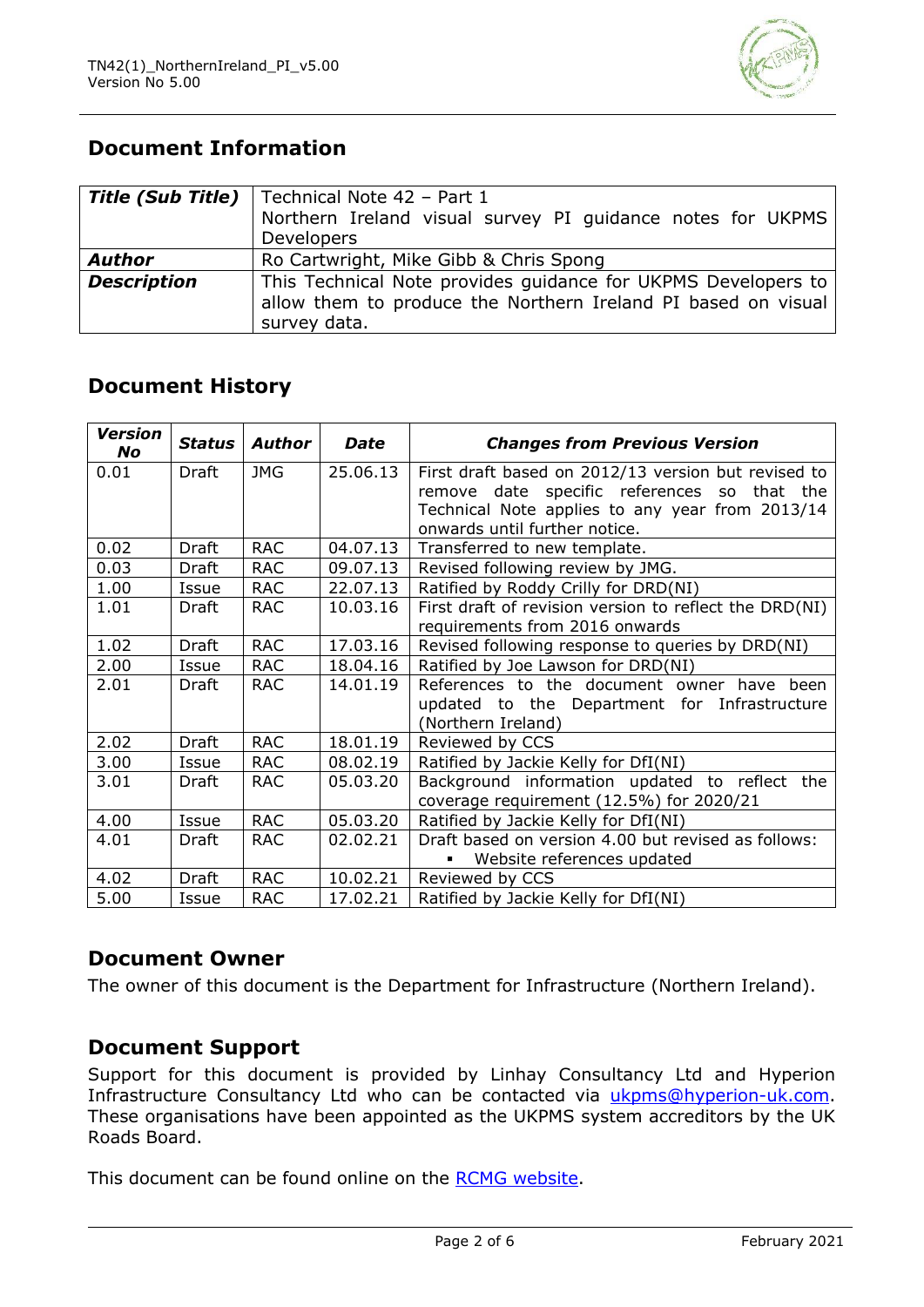

# **Document Information**

| <b>Title (Sub Title)</b> | Technical Note 42 - Part 1<br>Northern Ireland visual survey PI guidance notes for UKPMS<br>Developers |  |  |  |  |  |
|--------------------------|--------------------------------------------------------------------------------------------------------|--|--|--|--|--|
|                          |                                                                                                        |  |  |  |  |  |
| <b>Author</b>            | Ro Cartwright, Mike Gibb & Chris Spong                                                                 |  |  |  |  |  |
| <b>Description</b>       | This Technical Note provides guidance for UKPMS Developers to                                          |  |  |  |  |  |
|                          | allow them to produce the Northern Ireland PI based on visual                                          |  |  |  |  |  |
|                          | survey data.                                                                                           |  |  |  |  |  |

# **Document History**

| <b>Version</b><br>No | <b>Status</b> | <b>Author</b> | <b>Date</b> | <b>Changes from Previous Version</b>                   |  |  |
|----------------------|---------------|---------------|-------------|--------------------------------------------------------|--|--|
| 0.01                 | Draft         | <b>JMG</b>    | 25.06.13    | First draft based on 2012/13 version but revised to    |  |  |
|                      |               |               |             | remove date specific references so that the            |  |  |
|                      |               |               |             | Technical Note applies to any year from 2013/14        |  |  |
|                      |               |               |             | onwards until further notice.                          |  |  |
| 0.02                 | <b>Draft</b>  | <b>RAC</b>    | 04.07.13    | Transferred to new template.                           |  |  |
| 0.03                 | Draft         | <b>RAC</b>    | 09.07.13    | Revised following review by JMG.                       |  |  |
| 1.00                 | Issue         | <b>RAC</b>    | 22.07.13    | Ratified by Roddy Crilly for DRD(NI)                   |  |  |
| 1.01                 | Draft         | <b>RAC</b>    | 10.03.16    | First draft of revision version to reflect the DRD(NI) |  |  |
|                      |               |               |             | requirements from 2016 onwards                         |  |  |
| 1.02                 | Draft         | <b>RAC</b>    | 17.03.16    | Revised following response to queries by DRD(NI)       |  |  |
| 2.00                 | Issue         | <b>RAC</b>    | 18.04.16    | Ratified by Joe Lawson for DRD(NI)                     |  |  |
| 2.01                 | Draft         | <b>RAC</b>    | 14.01.19    | References to the document owner have been             |  |  |
|                      |               |               |             | updated to the Department for Infrastructure           |  |  |
|                      |               |               |             | (Northern Ireland)                                     |  |  |
| 2.02                 | Draft         | <b>RAC</b>    | 18.01.19    | Reviewed by CCS                                        |  |  |
| 3.00                 | Issue         | <b>RAC</b>    | 08.02.19    | Ratified by Jackie Kelly for DfI(NI)                   |  |  |
| 3.01                 | Draft         | <b>RAC</b>    | 05.03.20    | Background information updated to reflect the          |  |  |
|                      |               |               |             | coverage requirement (12.5%) for 2020/21               |  |  |
| 4.00                 | Issue         | <b>RAC</b>    | 05.03.20    | Ratified by Jackie Kelly for DfI(NI)                   |  |  |
| 4.01                 | Draft         | <b>RAC</b>    | 02.02.21    | Draft based on version 4.00 but revised as follows:    |  |  |
|                      |               |               |             | Website references updated                             |  |  |
| 4.02                 | <b>Draft</b>  | <b>RAC</b>    | 10.02.21    | Reviewed by CCS                                        |  |  |
| 5.00                 | Issue         | <b>RAC</b>    | 17.02.21    | Ratified by Jackie Kelly for DfI(NI)                   |  |  |

### **Document Owner**

The owner of this document is the Department for Infrastructure (Northern Ireland).

#### **Document Support**

Support for this document is provided by Linhay Consultancy Ltd and Hyperion Infrastructure Consultancy Ltd who can be contacted via [ukpms@hyperion-uk.com.](mailto:ukpms@hyperion-uk.com) These organisations have been appointed as the UKPMS system accreditors by the UK Roads Board.

This document can be found online on the [RCMG website.](https://www.ciht.org.uk/ukrlg-home/guidance/road-condition-information/data-management/uk-pavement-management-system-ukpms/)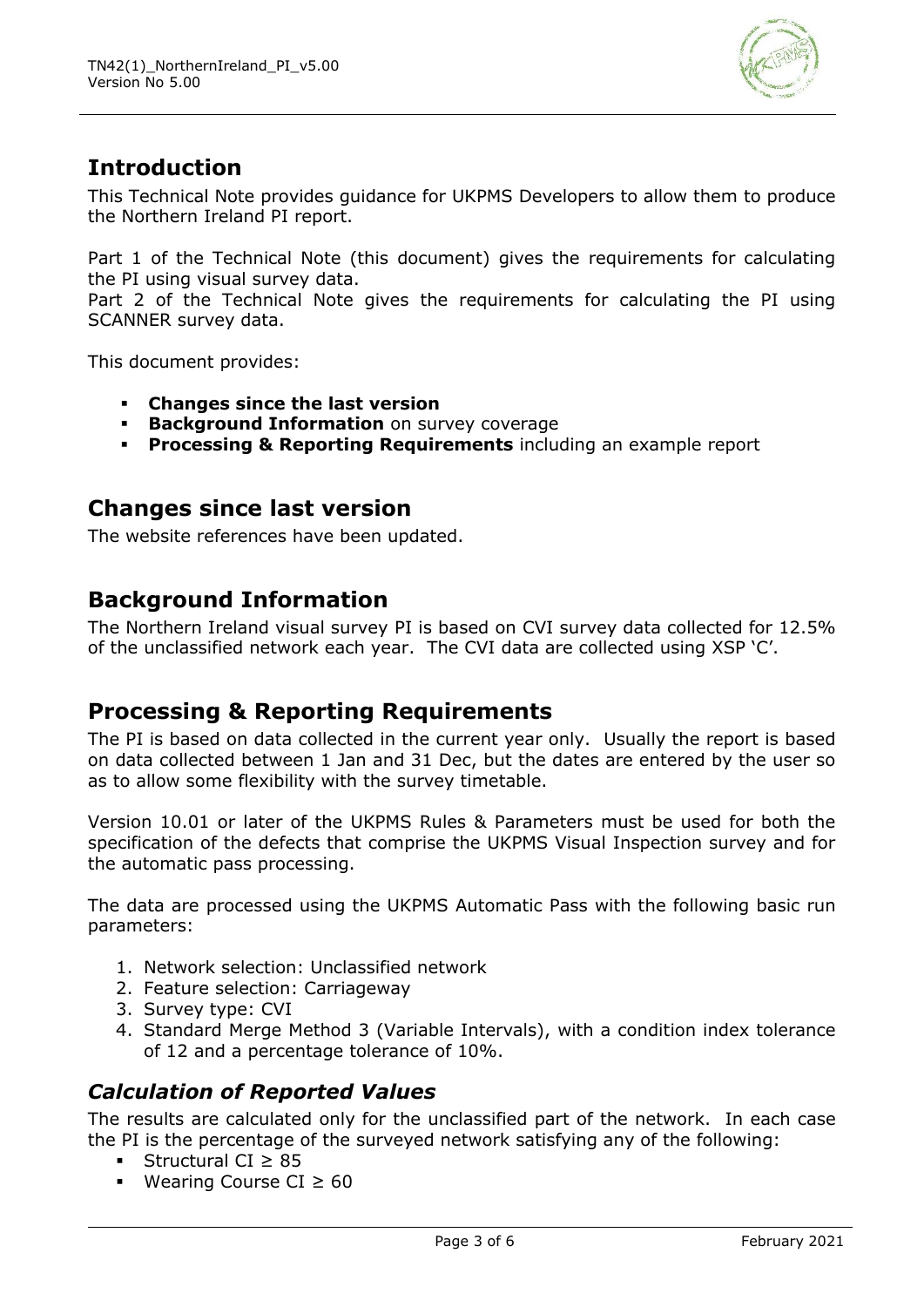

# **Introduction**

This Technical Note provides guidance for UKPMS Developers to allow them to produce the Northern Ireland PI report.

Part 1 of the Technical Note (this document) gives the requirements for calculating the PI using visual survey data.

Part 2 of the Technical Note gives the requirements for calculating the PI using SCANNER survey data.

This document provides:

- **Changes since the last version**
- **Background Information** on survey coverage
- **Processing & Reporting Requirements** including an example report

# **Changes since last version**

The website references have been updated.

# **Background Information**

The Northern Ireland visual survey PI is based on CVI survey data collected for 12.5% of the unclassified network each year. The CVI data are collected using XSP 'C'.

# **Processing & Reporting Requirements**

The PI is based on data collected in the current year only. Usually the report is based on data collected between 1 Jan and 31 Dec, but the dates are entered by the user so as to allow some flexibility with the survey timetable.

Version 10.01 or later of the UKPMS Rules & Parameters must be used for both the specification of the defects that comprise the UKPMS Visual Inspection survey and for the automatic pass processing.

The data are processed using the UKPMS Automatic Pass with the following basic run parameters:

- 1. Network selection: Unclassified network
- 2. Feature selection: Carriageway
- 3. Survey type: CVI
- 4. Standard Merge Method 3 (Variable Intervals), with a condition index tolerance of 12 and a percentage tolerance of 10%.

#### *Calculation of Reported Values*

The results are calculated only for the unclassified part of the network. In each case the PI is the percentage of the surveyed network satisfying any of the following:

- Structural CI  $\geq$  85
- Wearing Course CI ≥ 60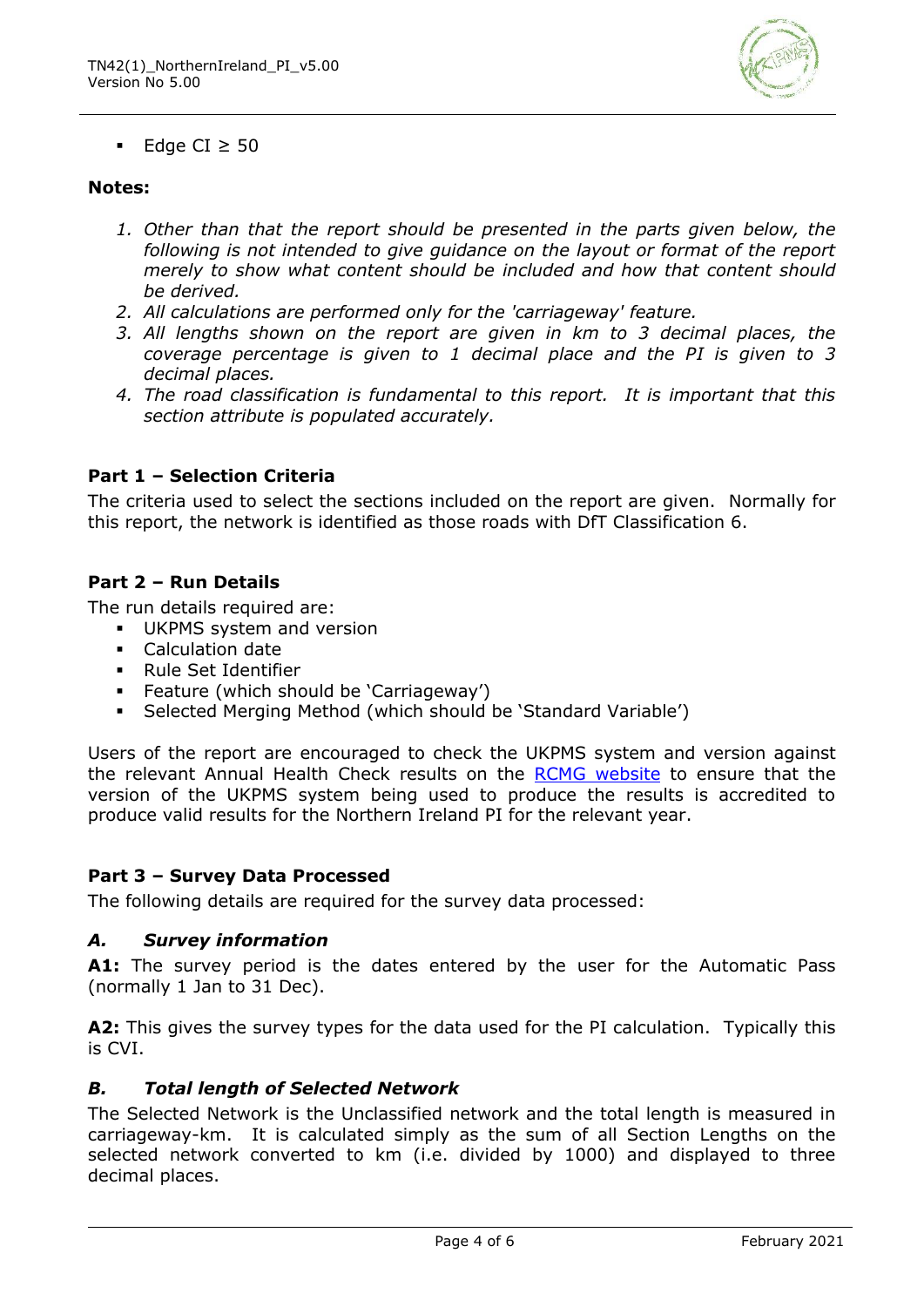

■ Edge CI  $\geq$  50

#### **Notes:**

- *1. Other than that the report should be presented in the parts given below, the following is not intended to give guidance on the layout or format of the report merely to show what content should be included and how that content should be derived.*
- *2. All calculations are performed only for the 'carriageway' feature.*
- *3. All lengths shown on the report are given in km to 3 decimal places, the coverage percentage is given to 1 decimal place and the PI is given to 3 decimal places.*
- *4. The road classification is fundamental to this report. It is important that this section attribute is populated accurately.*

#### **Part 1 – Selection Criteria**

The criteria used to select the sections included on the report are given. Normally for this report, the network is identified as those roads with DfT Classification 6.

#### **Part 2 – Run Details**

The run details required are:

- **■** UKPMS system and version
- Calculation date
- Rule Set Identifier
- Feature (which should be 'Carriageway')
- Selected Merging Method (which should be 'Standard Variable')

Users of the report are encouraged to check the UKPMS system and version against the relevant Annual Health Check results on the RCMG [website](https://www.ciht.org.uk/ukrlg-home/guidance/road-condition-information/data-management/uk-pavement-management-system-ukpms/) to ensure that the version of the UKPMS system being used to produce the results is accredited to produce valid results for the Northern Ireland PI for the relevant year.

#### **Part 3 – Survey Data Processed**

The following details are required for the survey data processed:

#### *A. Survey information*

**A1:** The survey period is the dates entered by the user for the Automatic Pass (normally 1 Jan to 31 Dec).

**A2:** This gives the survey types for the data used for the PI calculation. Typically this is CVI.

#### *B. Total length of Selected Network*

The Selected Network is the Unclassified network and the total length is measured in carriageway-km. It is calculated simply as the sum of all Section Lengths on the selected network converted to km (i.e. divided by 1000) and displayed to three decimal places.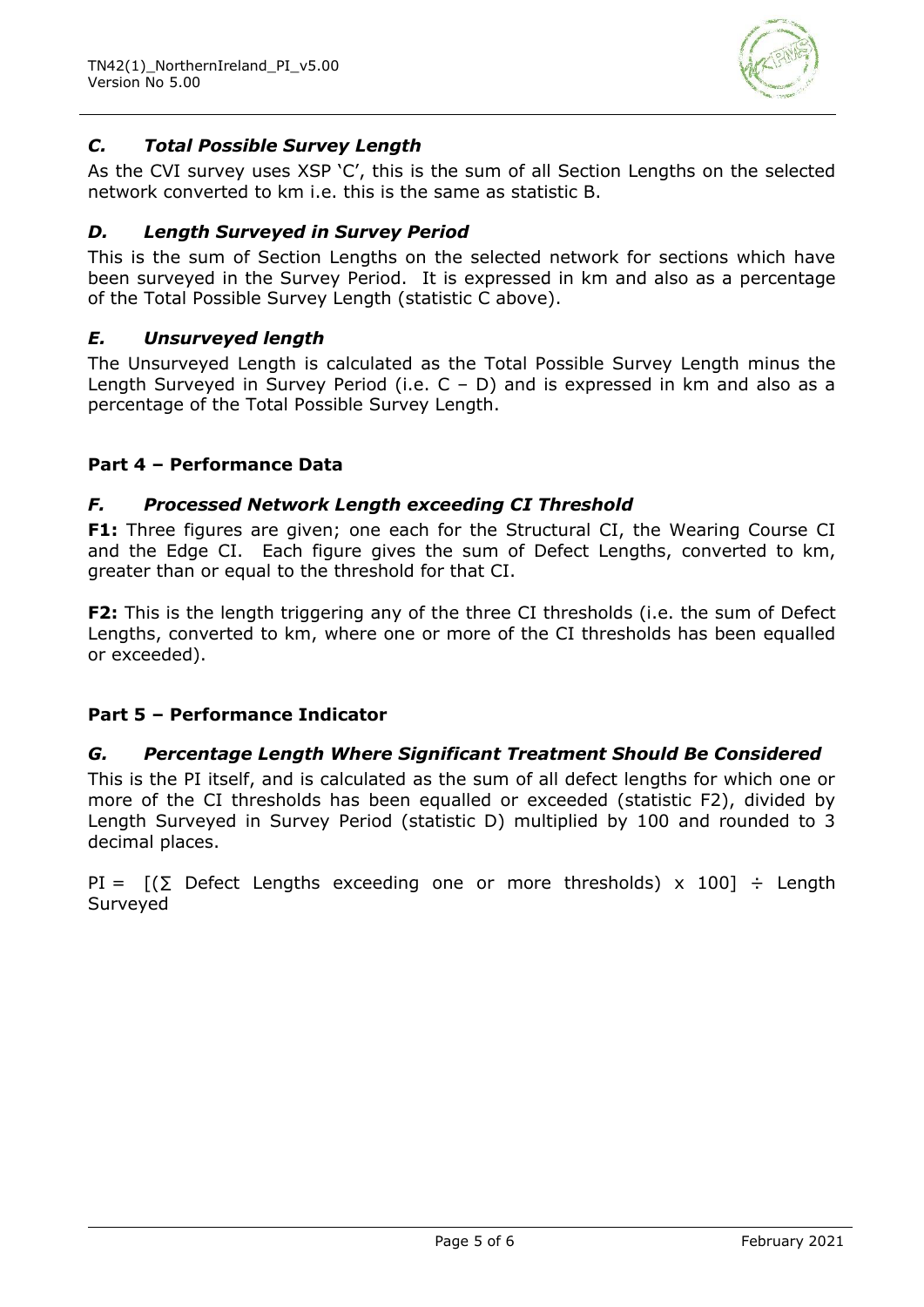

#### *C. Total Possible Survey Length*

As the CVI survey uses XSP 'C', this is the sum of all Section Lengths on the selected network converted to km i.e. this is the same as statistic B.

#### *D. Length Surveyed in Survey Period*

This is the sum of Section Lengths on the selected network for sections which have been surveyed in the Survey Period. It is expressed in km and also as a percentage of the Total Possible Survey Length (statistic C above).

#### *E. Unsurveyed length*

The Unsurveyed Length is calculated as the Total Possible Survey Length minus the Length Surveyed in Survey Period (i.e.  $C - D$ ) and is expressed in km and also as a percentage of the Total Possible Survey Length.

#### **Part 4 – Performance Data**

#### *F. Processed Network Length exceeding CI Threshold*

**F1:** Three figures are given; one each for the Structural CI, the Wearing Course CI and the Edge CI. Each figure gives the sum of Defect Lengths, converted to km, greater than or equal to the threshold for that CI.

**F2:** This is the length triggering any of the three CI thresholds (i.e. the sum of Defect Lengths, converted to km, where one or more of the CI thresholds has been equalled or exceeded).

#### **Part 5 – Performance Indicator**

#### *G. Percentage Length Where Significant Treatment Should Be Considered*

This is the PI itself, and is calculated as the sum of all defect lengths for which one or more of the CI thresholds has been equalled or exceeded (statistic F2), divided by Length Surveyed in Survey Period (statistic D) multiplied by 100 and rounded to 3 decimal places.

PI =  $[(\Sigma \text{ Defect Lengths exceeding one or more thresholds}) \times 100] \div \text{Length}$ Surveyed